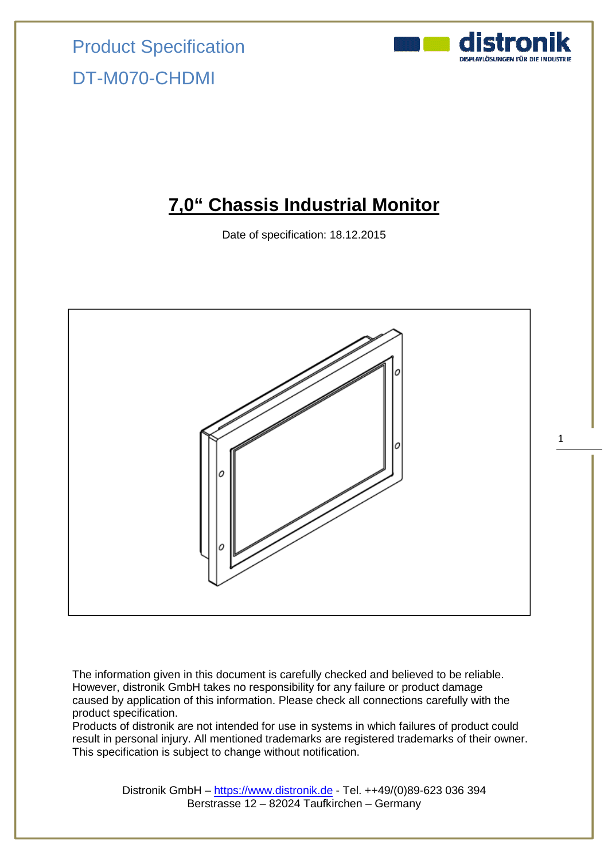### **7,0" Chassis Industrial Monitor**

Date of specification: 18.12.2015



The information given in this document is carefully checked and believed to be reliable. However, distronik GmbH takes no responsibility for any failure or product damage caused by application of this information. Please check all connections carefully with the product specification.

Products of distronik are not intended for use in systems in which failures of product could result in personal injury. All mentioned trademarks are registered trademarks of their owner. This specification is subject to change without notification.

> Distronik GmbH – https://www.distronik.de - Tel. ++49/(0)89-623 036 394 Berstrasse 12 – 82024 Taufkirchen – Germany

1

distro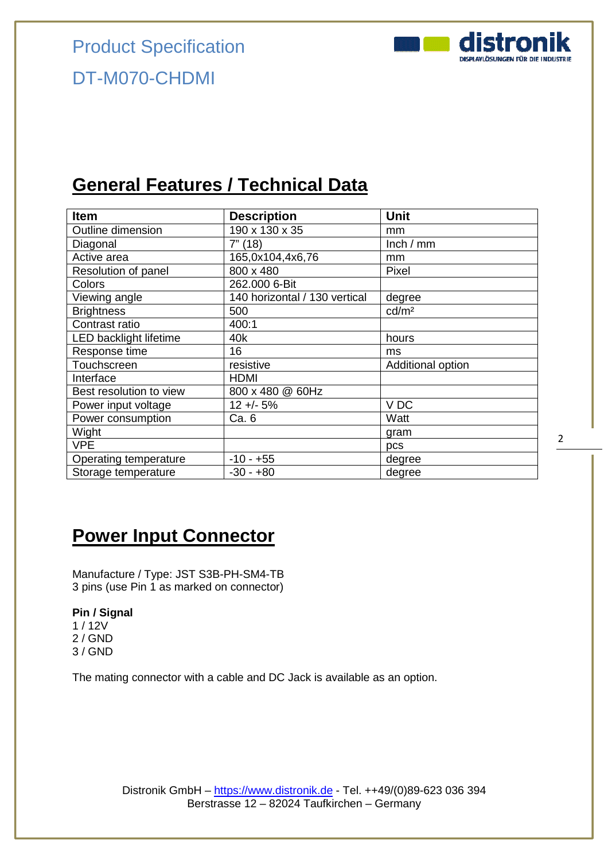

## **General Features / Technical Data**

| <b>Item</b>                   | <b>Description</b>            | <b>Unit</b>       |
|-------------------------------|-------------------------------|-------------------|
| Outline dimension             | 190 x 130 x 35                | mm                |
| Diagonal                      | 7" (18)                       | lnch / mm         |
| Active area                   | 165,0x104,4x6,76              | mm                |
| Resolution of panel           | 800 x 480                     | Pixel             |
| Colors                        | 262.000 6-Bit                 |                   |
| Viewing angle                 | 140 horizontal / 130 vertical | degree            |
| <b>Brightness</b>             | 500                           | cd/m <sup>2</sup> |
| Contrast ratio                | 400:1                         |                   |
| <b>LED backlight lifetime</b> | 40k                           | hours             |
| Response time                 | 16                            | ms                |
| Touchscreen                   | resistive                     | Additional option |
| Interface                     | <b>HDMI</b>                   |                   |
| Best resolution to view       | 800 x 480 @ 60Hz              |                   |
| Power input voltage           | $12 + - 5%$                   | VDC               |
| Power consumption             | Ca. 6                         | Watt              |
| Wight                         |                               | gram              |
| <b>VPE</b>                    |                               | pcs               |
| Operating temperature         | $-10 - +55$                   | degree            |
| Storage temperature           | $-30 - +80$                   | degree            |

### **Power Input Connector**

Manufacture / Type: JST S3B-PH-SM4-TB 3 pins (use Pin 1 as marked on connector)

#### **Pin / Signal**

1 / 12V 2 / GND 3 / GND

The mating connector with a cable and DC Jack is available as an option.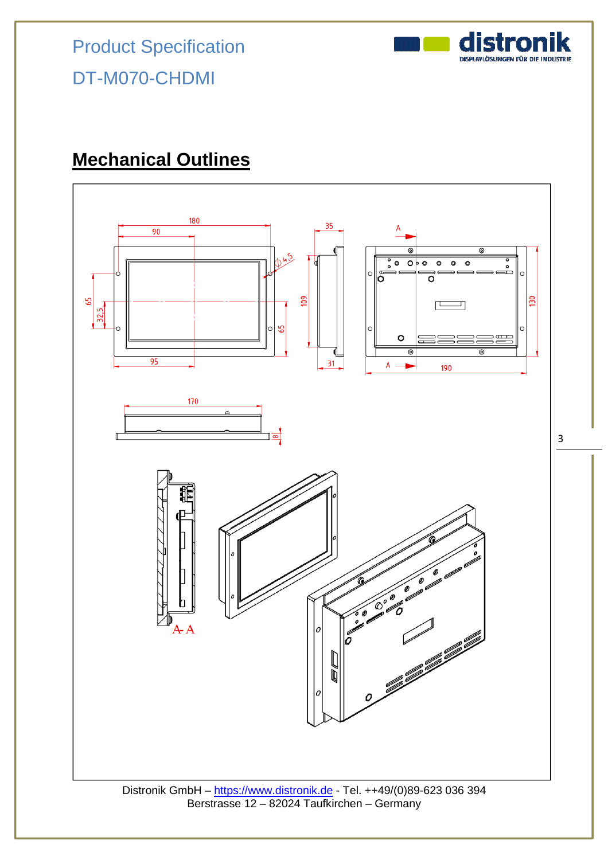

## **Mechanical Outlines**

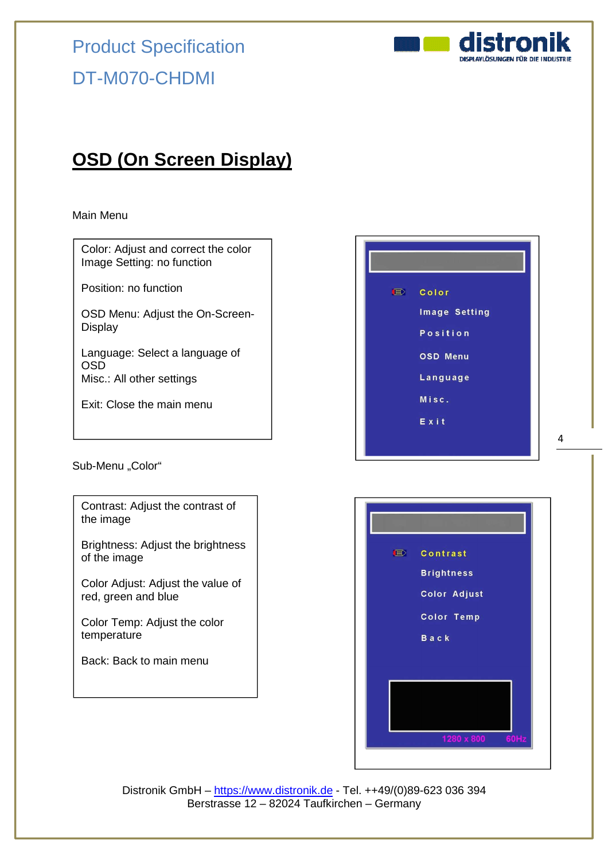

## **OSD (On Screen Display)**

#### Main Menu

Sub-Menu "Color" Color: Adjust and correct the color Image Setting: no function Position: no function OSD Menu: Adjust the On-Screen-**Display** Language: Select a language of OSD Misc.: All other settings Exit: Close the main menu Contrast: Adjust the contrast of the image Brightness: Adjust the brightness of the image Color Adjust: Adjust the value of red, green and blue Color Temp: Adjust the color temperature Back: Back to main menu



4



Distronik GmbH – https://www.distronik.de - Tel. ++49/(0)89-623 036 394 Berstrasse 12 – 82024 Taufkirchen – Germany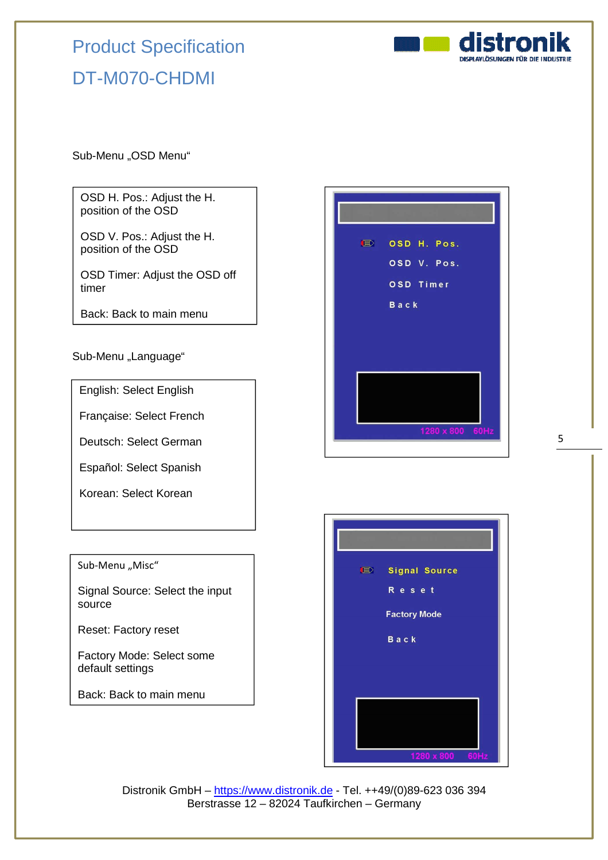

Sub-Menu "OSD Menu"

OSD H. Pos.: Adjust the H. position of the OSD

OSD V. Pos.: Adjust the H. position of the OSD

OSD Timer: Adjust the OSD off timer

Back: Back to main menu

Sub-Menu "Language"

English: Select English

Française: Select French

Deutsch: Select German

Español: Select Spanish

Korean: Select Korean

#### Sub-Menu "Misc"

Signal Source: Select the input source

Reset: Factory reset

Factory Mode: Select some default settings

Back: Back to main menu





Distronik GmbH – https://www.distronik.de - Tel. ++49/(0)89-623 036 394 Berstrasse 12 – 82024 Taufkirchen – Germany

5